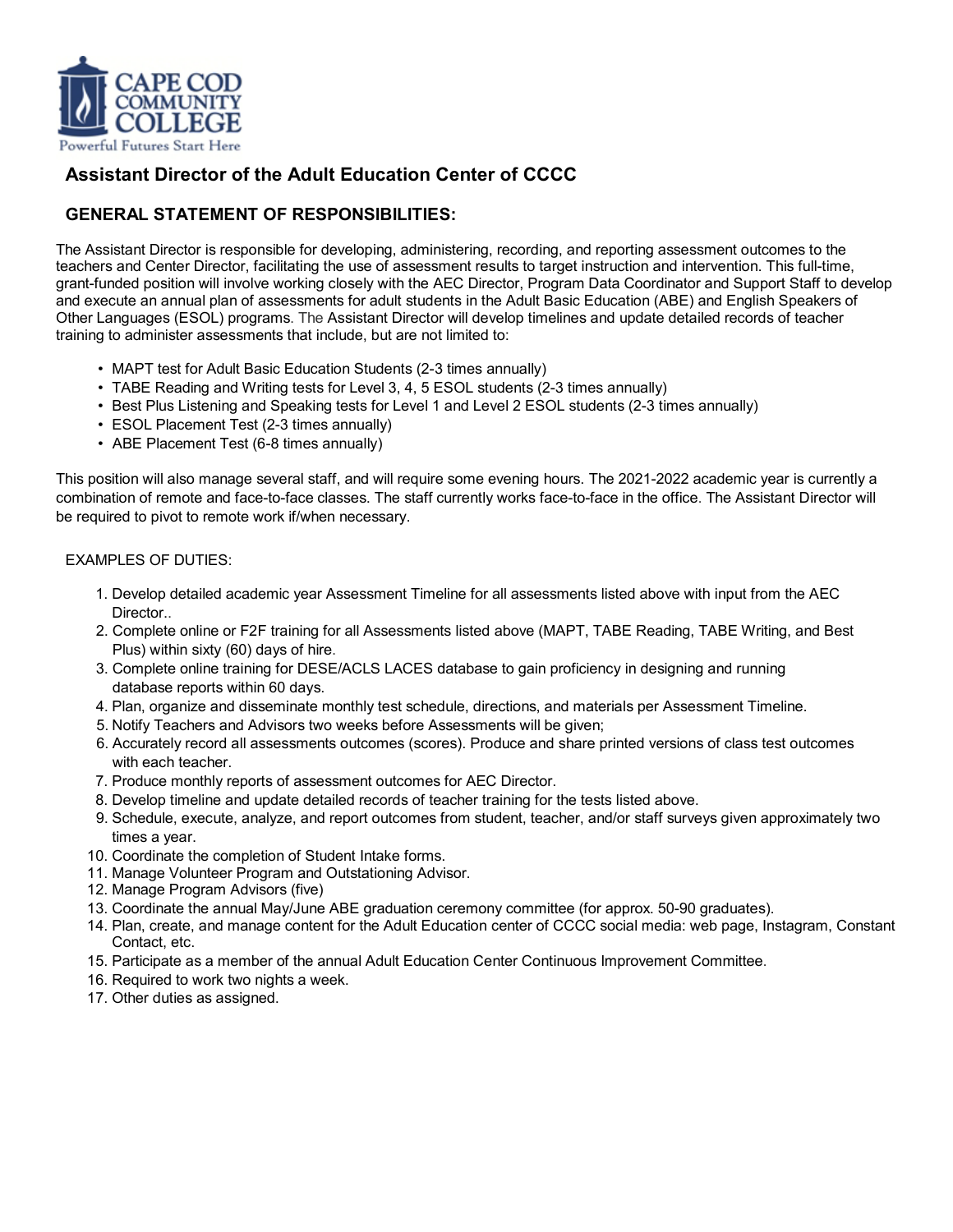

# **Assistant Director of the Adult Education Center of CCCC**

## **GENERAL STATEMENT OF RESPONSIBILITIES:**

The Assistant Director is responsible for developing, administering, recording, and reporting assessment outcomes to the teachers and Center Director, facilitating the use of assessment results to target instruction and intervention. This full-time, grant-funded position will involve working closely with the AEC Director, Program Data Coordinator and Support Staff to develop and execute an annual plan of assessments for adult students in the Adult Basic Education (ABE) and English Speakers of Other Languages (ESOL) programs. The Assistant Director will develop timelines and update detailed records of teacher training to administer assessments that include, but are not limited to:

- MAPT test for Adult Basic Education Students (2-3 times annually)
- TABE Reading and Writing tests for Level 3, 4, 5 ESOL students (2-3 times annually)
- Best Plus Listening and Speaking tests for Level 1 and Level 2 ESOL students (2-3 times annually)
- ESOL Placement Test (2-3 times annually)
- ABE Placement Test (6-8 times annually)

This position will also manage several staff, and will require some evening hours. The 2021-2022 academic year is currently a combination of remote and face-to-face classes. The staff currently works face-to-face in the office. The Assistant Director will be required to pivot to remote work if/when necessary.

### EXAMPLES OF DUTIES:

- 1. Develop detailed academic year Assessment Timeline for all assessments listed above with input from the AEC Director..
- 2. Complete online or F2F training for all Assessments listed above (MAPT, TABE Reading, TABE Writing, and Best Plus) within sixty (60) days of hire.
- 3. Complete online training for DESE/ACLS LACES database to gain proficiency in designing and running database reports within 60 days.
- 4. Plan, organize and disseminate monthly test schedule, directions, and materials per Assessment Timeline.
- 5. Notify Teachers and Advisors two weeks before Assessments will be given;
- 6. Accurately record all assessments outcomes (scores). Produce and share printed versions of class test outcomes with each teacher.
- 7. Produce monthly reports of assessment outcomes for AEC Director.
- 8. Develop timeline and update detailed records of teacher training for the tests listed above.
- 9. Schedule, execute, analyze, and report outcomes from student, teacher, and/or staff surveys given approximately two times a year.
- 10. Coordinate the completion of Student Intake forms.
- 11. Manage Volunteer Program and Outstationing Advisor.
- 12. Manage Program Advisors (five)
- 13. Coordinate the annual May/June ABE graduation ceremony committee (for approx. 50-90 graduates).
- 14. Plan, create, and manage content for the Adult Education center of CCCC social media: web page, Instagram, Constant Contact, etc.
- 15. Participate as a member of the annual Adult Education Center Continuous Improvement Committee.
- 16. Required to work two nights a week.
- 17. Other duties as assigned.